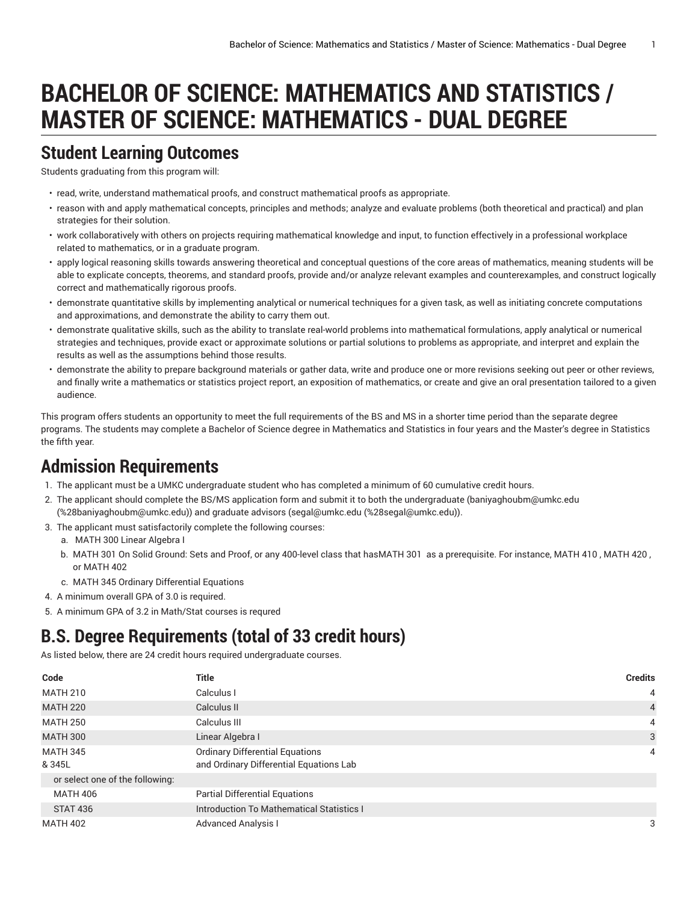# **BACHELOR OF SCIENCE: MATHEMATICS AND STATISTICS / MASTER OF SCIENCE: MATHEMATICS - DUAL DEGREE**

#### **Student Learning Outcomes**

Students graduating from this program will:

- read, write, understand mathematical proofs, and construct mathematical proofs as appropriate.
- reason with and apply mathematical concepts, principles and methods; analyze and evaluate problems (both theoretical and practical) and plan strategies for their solution.
- work collaboratively with others on projects requiring mathematical knowledge and input, to function effectively in a professional workplace related to mathematics, or in a graduate program.
- apply logical reasoning skills towards answering theoretical and conceptual questions of the core areas of mathematics, meaning students will be able to explicate concepts, theorems, and standard proofs, provide and/or analyze relevant examples and counterexamples, and construct logically correct and mathematically rigorous proofs.
- demonstrate quantitative skills by implementing analytical or numerical techniques for a given task, as well as initiating concrete computations and approximations, and demonstrate the ability to carry them out.
- demonstrate qualitative skills, such as the ability to translate real-world problems into mathematical formulations, apply analytical or numerical strategies and techniques, provide exact or approximate solutions or partial solutions to problems as appropriate, and interpret and explain the results as well as the assumptions behind those results.
- demonstrate the ability to prepare background materials or gather data, write and produce one or more revisions seeking out peer or other reviews, and finally write a mathematics or statistics project report, an exposition of mathematics, or create and give an oral presentation tailored to a given audience.

This program offers students an opportunity to meet the full requirements of the BS and MS in a shorter time period than the separate degree programs. The students may complete a Bachelor of Science degree in Mathematics and Statistics in four years and the Master's degree in Statistics the fifth year.

#### **Admission Requirements**

- 1. The applicant must be a UMKC undergraduate student who has completed a minimum of 60 cumulative credit hours.
- 2. The applicant should complete the BS/MS application form and submit it to both the undergraduate [\(baniyaghoubm@umkc.edu](mailto:%28baniyaghoubm@umkc.edu) (<%28baniyaghoubm@umkc.edu>)) and graduate advisors [\(segal@umkc.edu](mailto:%28segal@umkc.edu) ([%28segal@umkc.edu\)](%28segal@umkc.edu)).
- 3. The applicant must satisfactorily complete the following courses:
- a. MATH 300 Linear Algebra I
	- b. MATH 301 On Solid Ground: Sets and Proof, or any 400-level class that hasMATH 301 as a prerequisite. For instance, MATH 410 , MATH 420 , or MATH 402
- c. MATH 345 Ordinary Differential Equations
- 4. A minimum overall GPA of 3.0 is required.
- 5. A minimum GPA of 3.2 in Math/Stat courses is requred

# **B.S. Degree Requirements (total of 33 credit hours)**

As listed below, there are 24 credit hours required undergraduate courses.

| Code                            | <b>Title</b>                                                                      | <b>Credits</b> |
|---------------------------------|-----------------------------------------------------------------------------------|----------------|
| <b>MATH 210</b>                 | Calculus I                                                                        | 4              |
| <b>MATH 220</b>                 | Calculus II                                                                       | $\overline{4}$ |
| <b>MATH 250</b>                 | Calculus III                                                                      | 4              |
| <b>MATH 300</b>                 | Linear Algebra I                                                                  | 3              |
| <b>MATH 345</b><br>& 345L       | <b>Ordinary Differential Equations</b><br>and Ordinary Differential Equations Lab | 4              |
| or select one of the following: |                                                                                   |                |
| <b>MATH 406</b>                 | <b>Partial Differential Equations</b>                                             |                |
| <b>STAT 436</b>                 | Introduction To Mathematical Statistics I                                         |                |
| <b>MATH 402</b>                 | <b>Advanced Analysis I</b>                                                        | 3              |